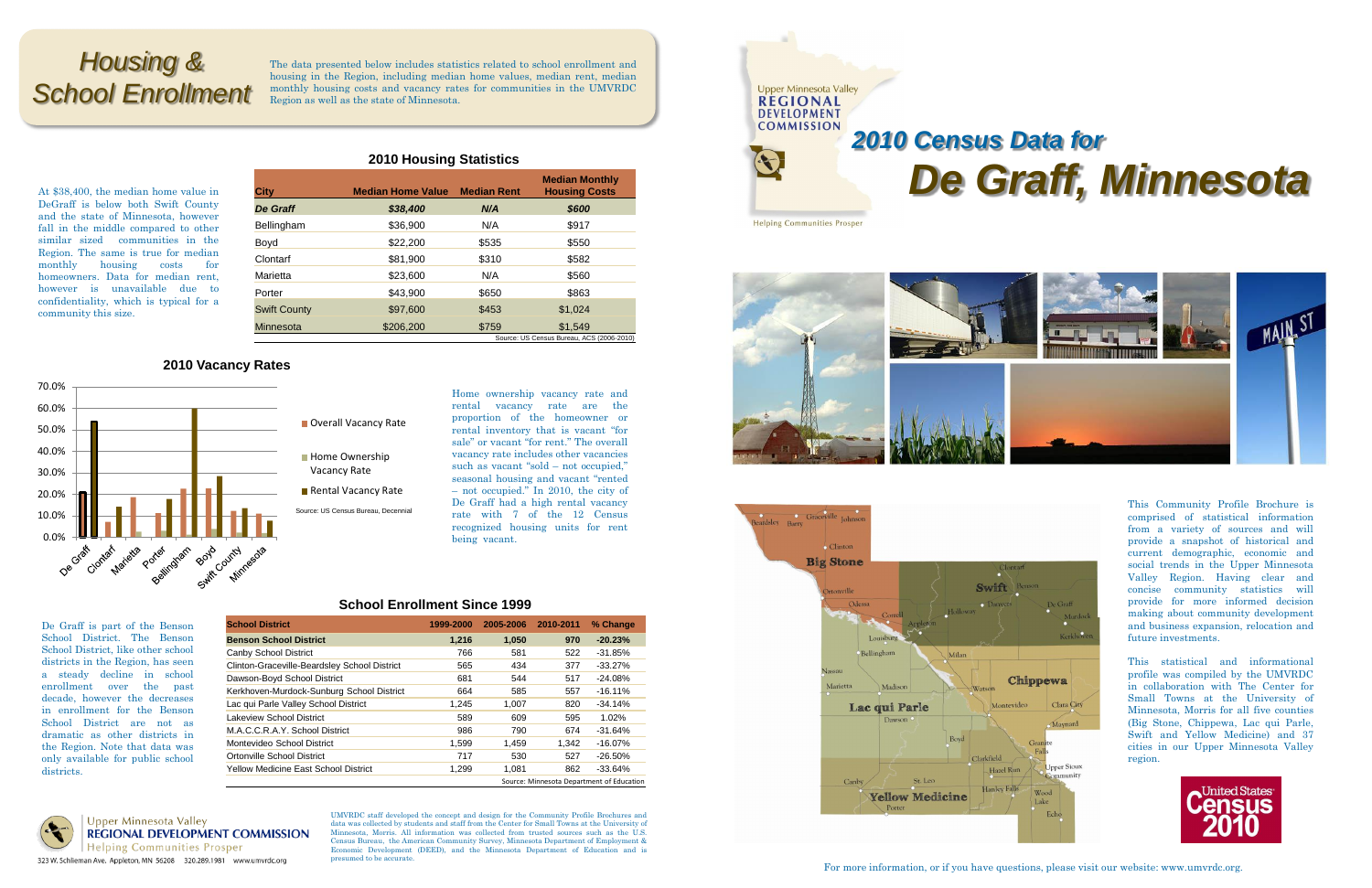At \$38,400, the median home value in DeGraff is below both Swift County and the state of Minnesota, however fall in the middle compared to other similar sized communities in the Region. The same is true for median monthly housing costs for homeowners. Data for median rent, however is unavailable due to confidentiality, which is typical for a community this size.

#### **2010 Housing Statistics**

## **2010 Vacancy Rates**

Home ownership vacancy rate and rental vacancy rate are the proportion of the homeowner or rental inventory that is vacant "for sale" or vacant "for rent." The overall vacancy rate includes other vacancies such as vacant "sold – not occupied," seasonal housing and vacant "rented – not occupied." In 2010, the city of De Graff had a high rental vacancy rate with 7 of the 12 Census recognized housing units for rent being vacant.

| <b>City</b>         | <b>Median Home Value</b> | <b>Median Rent</b> | <b>Median Monthly</b><br><b>Housing Costs</b> |
|---------------------|--------------------------|--------------------|-----------------------------------------------|
| De Graff            | \$38,400                 | N/A                | \$600                                         |
| Bellingham          | \$36,900                 | N/A                | \$917                                         |
| Boyd                | \$22,200                 | \$535              | \$550                                         |
| Clontarf            | \$81,900                 | \$310              | \$582                                         |
| Marietta            | \$23,600                 | N/A                | \$560                                         |
| Porter              | \$43.900                 | \$650              | \$863                                         |
| <b>Swift County</b> | \$97,600                 | \$453              | \$1,024                                       |
| Minnesota           | \$206,200                | \$759              | \$1,549                                       |
|                     |                          |                    | Source: US Census Bureau, ACS (2006-2         |

 $-2010$ 



# Overall Vacancy Rate

- **Home Ownership** Vacancy Rate
- Rental Vacancy Rate
- 

# *De Graff, Minnesota*







De Graff is part of the Benson School District. The Benson School District, like other school districts in the Region, has seen a steady decline in school enrollment over the past decade, however the decreases in enrollment for the Benson School District are not as dramatic as other districts in the Region. Note that data was only available for public school

districts.

**Upper Minnesota Valley REGIONAL DEVELOPMENT COMMISSION Helping Communities Prosper** 323 W. Schlieman Ave. Appleton, MN 56208 320.289.1981 www.umvrdc.org

UMVRDC staff developed the concept and design for the Community Profile Brochures and data was collected by students and staff from the Center for Small Towns at the University of Minnesota, Morris. All information was collected from trusted sources such as the U.S. Census Bureau, the American Community Survey, Minnesota Department of Employment & Economic Development (DEED), and the Minnesota Department of Education and is presumed to be accurate.

# *Housing & School Enrollment*

The data presented below includes statistics related to school enrollment and housing in the Region, including median home values, median rent, median monthly housing costs and vacancy rates for communities in the UMVRDC Region as well as the state of Minnesota.

> This Community Profile Brochure is comprised of statistical information from a variety of sources and will provide a snapshot of historical and current demographic, economic and social trends in the Upper Minnesota Valley Region. Having clear and concise community statistics will provide for more informed decision making about community development and business expansion, relocation and future investments.

> This statistical and informational profile was compiled by the UMVRDC in collaboration with The Center for Small Towns at the University of Minnesota, Morris for all five counties (Big Stone, Chippewa, Lac qui Parle, Swift and Yellow Medicine) and 37 cities in our Upper Minnesota Valley region.



For more information, or if you have questions, please visit our website: www.umvrdc.org.

### **School Enrollment Since 1999**

| <b>School District</b>                       | 1999-2000 | 2005-2006 | 2010-2011 | % Change   |
|----------------------------------------------|-----------|-----------|-----------|------------|
| <b>Benson School District</b>                | 1.216     | 1,050     | 970       | $-20.23%$  |
| Canby School District                        | 766       | 581       | 522       | $-31.85%$  |
| Clinton-Graceville-Beardsley School District | 565       | 434       | 377       | $-33.27%$  |
| Dawson-Boyd School District                  | 681       | 544       | 517       | $-24.08\%$ |
| Kerkhoven-Murdock-Sunburg School District    | 664       | 585       | 557       | $-16.11\%$ |
| Lac qui Parle Valley School District         | 1,245     | 1,007     | 820       | $-34.14%$  |
| Lakeview School District                     | 589       | 609       | 595       | 1.02%      |
| M.A.C.C.R.A.Y. School District               | 986       | 790       | 674       | $-31.64%$  |
| Montevideo School District                   | 1,599     | 1.459     | 1.342     | $-16.07\%$ |
| Ortonville School District                   | 717       | 530       | 527       | $-26.50\%$ |
| <b>Yellow Medicine East School District</b>  | 1.299     | 1.081     | 862       | $-33.64%$  |
| Source: Minnesota Department of Education    |           |           |           |            |